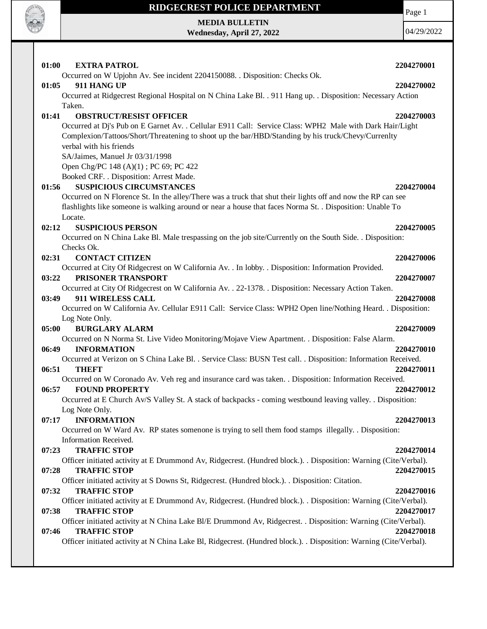

**MEDIA BULLETIN**

**Wednesday, April 27, 2022**

Page 1

| 01:00<br><b>EXTRA PATROL</b>                                                                                       | 2204270001 |
|--------------------------------------------------------------------------------------------------------------------|------------|
| Occurred on W Upjohn Av. See incident 2204150088. . Disposition: Checks Ok.                                        |            |
| 911 HANG UP<br>01:05                                                                                               | 2204270002 |
| Occurred at Ridgecrest Regional Hospital on N China Lake Bl. . 911 Hang up. . Disposition: Necessary Action        |            |
| Taken.                                                                                                             |            |
| 01:41<br><b>OBSTRUCT/RESIST OFFICER</b>                                                                            | 2204270003 |
| Occurred at Dj's Pub on E Garnet Av. . Cellular E911 Call: Service Class: WPH2 Male with Dark Hair/Light           |            |
| Complexion/Tattoos/Short/Threatening to shoot up the bar/HBD/Standing by his truck/Chevy/Currenlty                 |            |
| verbal with his friends                                                                                            |            |
| SA/Jaimes, Manuel Jr 03/31/1998                                                                                    |            |
| Open Chg/PC 148 (A)(1); PC 69; PC 422                                                                              |            |
| Booked CRF. . Disposition: Arrest Made.                                                                            |            |
| <b>SUSPICIOUS CIRCUMSTANCES</b><br>01:56                                                                           | 2204270004 |
| Occurred on N Florence St. In the alley/There was a truck that shut their lights off and now the RP can see        |            |
| flashlights like someone is walking around or near a house that faces Norma St. . Disposition: Unable To           |            |
| Locate.                                                                                                            |            |
| 02:12<br><b>SUSPICIOUS PERSON</b>                                                                                  | 2204270005 |
| Occurred on N China Lake Bl. Male trespassing on the job site/Currently on the South Side. . Disposition:          |            |
| Checks Ok.                                                                                                         |            |
| 02:31<br><b>CONTACT CITIZEN</b>                                                                                    | 2204270006 |
| Occurred at City Of Ridgecrest on W California Av. . In lobby. . Disposition: Information Provided.                |            |
| PRISONER TRANSPORT<br>03:22                                                                                        | 2204270007 |
| Occurred at City Of Ridgecrest on W California Av. . 22-1378. . Disposition: Necessary Action Taken.               |            |
| 911 WIRELESS CALL<br>03:49                                                                                         | 2204270008 |
| Occurred on W California Av. Cellular E911 Call: Service Class: WPH2 Open line/Nothing Heard. . Disposition:       |            |
| Log Note Only.<br><b>BURGLARY ALARM</b><br>05:00                                                                   | 2204270009 |
| Occurred on N Norma St. Live Video Monitoring/Mojave View Apartment. . Disposition: False Alarm.                   |            |
| <b>INFORMATION</b><br>06:49                                                                                        | 2204270010 |
| Occurred at Verizon on S China Lake Bl. . Service Class: BUSN Test call. . Disposition: Information Received.      |            |
| 06:51<br><b>THEFT</b>                                                                                              | 2204270011 |
| Occurred on W Coronado Av. Veh reg and insurance card was taken. . Disposition: Information Received.              |            |
| <b>FOUND PROPERTY</b><br>06:57                                                                                     | 2204270012 |
| Occurred at E Church Av/S Valley St. A stack of backpacks - coming westbound leaving valley. . Disposition:        |            |
| Log Note Only.                                                                                                     |            |
| 07:17<br><b>INFORMATION</b>                                                                                        | 2204270013 |
| Occurred on W Ward Av. RP states somenone is trying to sell them food stamps illegally. . Disposition:             |            |
| Information Received.                                                                                              |            |
| <b>TRAFFIC STOP</b><br>07:23                                                                                       | 2204270014 |
| Officer initiated activity at E Drummond Av, Ridgecrest. (Hundred block.). . Disposition: Warning (Cite/Verbal).   |            |
| 07:28<br><b>TRAFFIC STOP</b>                                                                                       | 2204270015 |
| Officer initiated activity at S Downs St, Ridgecrest. (Hundred block.). . Disposition: Citation.                   |            |
| 07:32<br><b>TRAFFIC STOP</b>                                                                                       | 2204270016 |
| Officer initiated activity at E Drummond Av, Ridgecrest. (Hundred block.). . Disposition: Warning (Cite/Verbal).   |            |
| 07:38<br><b>TRAFFIC STOP</b>                                                                                       | 2204270017 |
| Officer initiated activity at N China Lake Bl/E Drummond Av, Ridgecrest. . Disposition: Warning (Cite/Verbal).     |            |
| <b>TRAFFIC STOP</b><br>07:46                                                                                       | 2204270018 |
| Officer initiated activity at N China Lake Bl, Ridgecrest. (Hundred block.). . Disposition: Warning (Cite/Verbal). |            |
|                                                                                                                    |            |
|                                                                                                                    |            |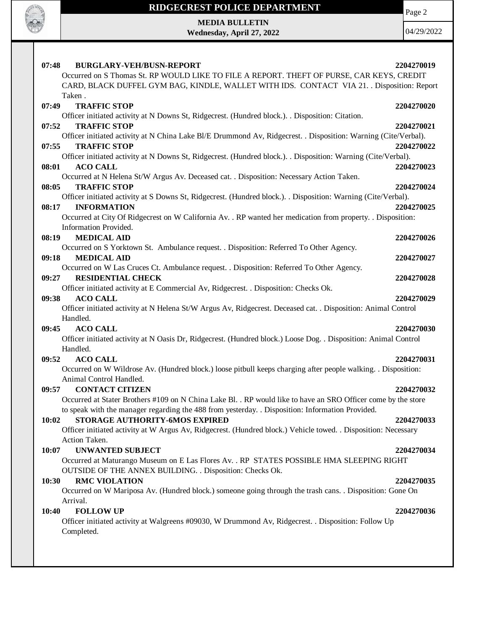

Page 2

**MEDIA BULLETIN Wednesday, April 27, 2022**

| <b>BURGLARY-VEH/BUSN-REPORT</b><br>07:48                                                                        | 2204270019 |
|-----------------------------------------------------------------------------------------------------------------|------------|
| Occurred on S Thomas St. RP WOULD LIKE TO FILE A REPORT. THEFT OF PURSE, CAR KEYS, CREDIT                       |            |
| CARD, BLACK DUFFEL GYM BAG, KINDLE, WALLET WITH IDS. CONTACT VIA 21. . Disposition: Report                      |            |
| Taken.                                                                                                          |            |
| <b>TRAFFIC STOP</b><br>07:49                                                                                    | 2204270020 |
| Officer initiated activity at N Downs St, Ridgecrest. (Hundred block.). . Disposition: Citation.                |            |
| <b>TRAFFIC STOP</b><br>07:52                                                                                    | 2204270021 |
| Officer initiated activity at N China Lake Bl/E Drummond Av, Ridgecrest. . Disposition: Warning (Cite/Verbal).  |            |
| <b>TRAFFIC STOP</b><br>07:55                                                                                    | 2204270022 |
| Officer initiated activity at N Downs St, Ridgecrest. (Hundred block.). . Disposition: Warning (Cite/Verbal).   |            |
| 08:01<br><b>ACO CALL</b>                                                                                        | 2204270023 |
| Occurred at N Helena St/W Argus Av. Deceased cat. . Disposition: Necessary Action Taken.                        |            |
| 08:05<br><b>TRAFFIC STOP</b>                                                                                    | 2204270024 |
| Officer initiated activity at S Downs St, Ridgecrest. (Hundred block.). Disposition: Warning (Cite/Verbal).     |            |
| 08:17<br><b>INFORMATION</b>                                                                                     | 2204270025 |
| Occurred at City Of Ridgecrest on W California Av. . RP wanted her medication from property. . Disposition:     |            |
| Information Provided.                                                                                           |            |
| <b>MEDICAL AID</b><br>08:19                                                                                     | 2204270026 |
| Occurred on S Yorktown St. Ambulance request. . Disposition: Referred To Other Agency.                          |            |
| <b>MEDICAL AID</b><br>09:18                                                                                     | 2204270027 |
| Occurred on W Las Cruces Ct. Ambulance request. . Disposition: Referred To Other Agency.                        |            |
| <b>RESIDENTIAL CHECK</b><br>09:27                                                                               | 2204270028 |
| Officer initiated activity at E Commercial Av, Ridgecrest. . Disposition: Checks Ok.                            |            |
| <b>ACO CALL</b><br>09:38                                                                                        | 2204270029 |
| Officer initiated activity at N Helena St/W Argus Av, Ridgecrest. Deceased cat. . Disposition: Animal Control   |            |
| Handled.                                                                                                        |            |
| <b>ACO CALL</b><br>09:45                                                                                        | 2204270030 |
| Officer initiated activity at N Oasis Dr, Ridgecrest. (Hundred block.) Loose Dog. . Disposition: Animal Control |            |
| Handled.                                                                                                        |            |
| <b>ACO CALL</b><br>09:52                                                                                        | 2204270031 |
| Occurred on W Wildrose Av. (Hundred block.) loose pitbull keeps charging after people walking. . Disposition:   |            |
| Animal Control Handled.                                                                                         |            |
| <b>CONTACT CITIZEN</b><br>09:57                                                                                 | 2204270032 |
| Occurred at Stater Brothers #109 on N China Lake Bl. . RP would like to have an SRO Officer come by the store   |            |
| to speak with the manager regarding the 488 from yesterday. . Disposition: Information Provided.                |            |
| STORAGE AUTHORITY-6MOS EXPIRED<br>10:02                                                                         | 2204270033 |
| Officer initiated activity at W Argus Av, Ridgecrest. (Hundred block.) Vehicle towed. . Disposition: Necessary  |            |
| Action Taken.                                                                                                   |            |
| <b>UNWANTED SUBJECT</b><br>10:07                                                                                | 2204270034 |
| Occurred at Maturango Museum on E Las Flores Av. . RP STATES POSSIBLE HMA SLEEPING RIGHT                        |            |
| OUTSIDE OF THE ANNEX BUILDING. . Disposition: Checks Ok.                                                        |            |
| 10:30<br><b>RMC VIOLATION</b>                                                                                   | 2204270035 |
| Occurred on W Mariposa Av. (Hundred block.) someone going through the trash cans. . Disposition: Gone On        |            |
| Arrival.                                                                                                        |            |
| <b>FOLLOW UP</b><br>10:40                                                                                       | 2204270036 |
| Officer initiated activity at Walgreens #09030, W Drummond Av, Ridgecrest. . Disposition: Follow Up             |            |
| Completed.                                                                                                      |            |
|                                                                                                                 |            |
|                                                                                                                 |            |
|                                                                                                                 |            |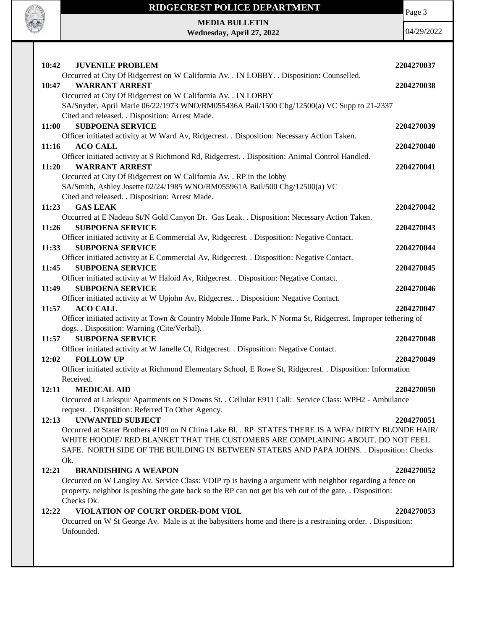

Page 3

### **MEDIA BULLETIN Wednesday, April 27, 2022**

| 10:42<br><b>JUVENILE PROBLEM</b>                                                                                                                   | 2204270037 |
|----------------------------------------------------------------------------------------------------------------------------------------------------|------------|
| Occurred at City Of Ridgecrest on W California Av. . IN LOBBY. . Disposition: Counselled.                                                          |            |
| <b>WARRANT ARREST</b><br>10:47                                                                                                                     | 2204270038 |
| Occurred at City Of Ridgecrest on W California Av. . IN LOBBY                                                                                      |            |
| SA/Snyder, April Marie 06/22/1973 WNO/RM055436A Bail/1500 Chg/12500(a) VC Supp to 21-2337                                                          |            |
| Cited and released. . Disposition: Arrest Made.                                                                                                    |            |
| <b>SUBPOENA SERVICE</b><br>11:00                                                                                                                   | 2204270039 |
| Officer initiated activity at W Ward Av, Ridgecrest. . Disposition: Necessary Action Taken.                                                        |            |
| <b>ACO CALL</b><br><b>11:16</b>                                                                                                                    | 2204270040 |
| Officer initiated activity at S Richmond Rd, Ridgecrest. . Disposition: Animal Control Handled.                                                    |            |
| <b>WARRANT ARREST</b><br>11:20                                                                                                                     | 2204270041 |
| Occurred at City Of Ridgecrest on W California Av. . RP in the lobby<br>SA/Smith, Ashley Josette 02/24/1985 WNO/RM055961A Bail/500 Chg/12500(a) VC |            |
| Cited and released. . Disposition: Arrest Made.                                                                                                    |            |
| <b>GAS LEAK</b><br>11:23                                                                                                                           | 2204270042 |
| Occurred at E Nadeau St/N Gold Canyon Dr. Gas Leak. . Disposition: Necessary Action Taken.                                                         |            |
| <b>SUBPOENA SERVICE</b><br>11:26                                                                                                                   | 2204270043 |
| Officer initiated activity at E Commercial Av, Ridgecrest. . Disposition: Negative Contact.                                                        |            |
| <b>SUBPOENA SERVICE</b><br>11:33                                                                                                                   | 2204270044 |
| Officer initiated activity at E Commercial Av, Ridgecrest. . Disposition: Negative Contact.                                                        |            |
| <b>SUBPOENA SERVICE</b><br>11:45                                                                                                                   | 2204270045 |
| Officer initiated activity at W Haloid Av, Ridgecrest. . Disposition: Negative Contact.                                                            |            |
| 11:49<br><b>SUBPOENA SERVICE</b>                                                                                                                   | 2204270046 |
| Officer initiated activity at W Upjohn Av, Ridgecrest. . Disposition: Negative Contact.                                                            |            |
| 11:57<br><b>ACO CALL</b>                                                                                                                           | 2204270047 |
| Officer initiated activity at Town & Country Mobile Home Park, N Norma St, Ridgecrest. Improper tethering of                                       |            |
| dogs. . Disposition: Warning (Cite/Verbal).                                                                                                        |            |
| <b>SUBPOENA SERVICE</b><br>11:57                                                                                                                   | 2204270048 |
| Officer initiated activity at W Janelle Ct, Ridgecrest. . Disposition: Negative Contact.                                                           |            |
| <b>FOLLOW UP</b><br>12:02                                                                                                                          | 2204270049 |
| Officer initiated activity at Richmond Elementary School, E Rowe St, Ridgecrest. . Disposition: Information                                        |            |
| Received.                                                                                                                                          |            |
| <b>MEDICAL AID</b><br>12:11<br>Occurred at Larkspur Apartments on S Downs St. . Cellular E911 Call: Service Class: WPH2 - Ambulance                | 2204270050 |
| request. . Disposition: Referred To Other Agency.                                                                                                  |            |
| <b>UNWANTED SUBJECT</b><br>12:13                                                                                                                   | 2204270051 |
| Occurred at Stater Brothers #109 on N China Lake Bl. . RP STATES THERE IS A WFA/ DIRTY BLONDE HAIR/                                                |            |
| WHITE HOODIE/ RED BLANKET THAT THE CUSTOMERS ARE COMPLAINING ABOUT. DO NOT FEEL                                                                    |            |
| SAFE. NORTH SIDE OF THE BUILDING IN BETWEEN STATERS AND PAPA JOHNS. . Disposition: Checks                                                          |            |
| Ok.                                                                                                                                                |            |
| <b>BRANDISHING A WEAPON</b><br>12:21                                                                                                               | 2204270052 |
| Occurred on W Langley Av. Service Class: VOIP rp is having a argument with neighbor regarding a fence on                                           |            |
| property. neighbor is pushing the gate back so the RP can not get his veh out of the gate. . Disposition:                                          |            |
| Checks Ok.                                                                                                                                         |            |
| 12:22<br>VIOLATION OF COURT ORDER-DOM VIOL                                                                                                         | 2204270053 |
| Occurred on W St George Av. Male is at the babysitters home and there is a restraining order. . Disposition:                                       |            |
| Unfounded.                                                                                                                                         |            |
|                                                                                                                                                    |            |
|                                                                                                                                                    |            |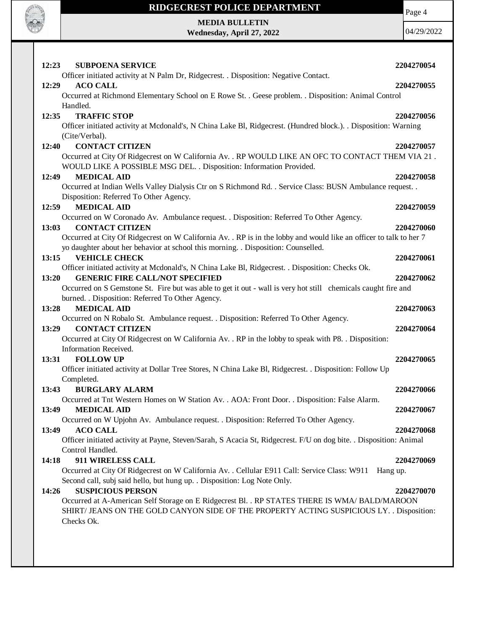

Page 4

**MEDIA BULLETIN Wednesday, April 27, 2022**

| 12:23<br><b>SUBPOENA SERVICE</b>                                                                                                                                                                                                              | 2204270054 |
|-----------------------------------------------------------------------------------------------------------------------------------------------------------------------------------------------------------------------------------------------|------------|
| Officer initiated activity at N Palm Dr, Ridgecrest. . Disposition: Negative Contact.<br><b>ACO CALL</b><br>12:29<br>Occurred at Richmond Elementary School on E Rowe St. . Geese problem. . Disposition: Animal Control<br>Handled.          | 2204270055 |
| 12:35<br><b>TRAFFIC STOP</b><br>Officer initiated activity at Mcdonald's, N China Lake Bl, Ridgecrest. (Hundred block.). Disposition: Warning<br>(Cite/Verbal).                                                                               | 2204270056 |
| <b>CONTACT CITIZEN</b><br>12:40<br>Occurred at City Of Ridgecrest on W California Av. . RP WOULD LIKE AN OFC TO CONTACT THEM VIA 21.<br>WOULD LIKE A POSSIBLE MSG DEL. . Disposition: Information Provided.                                   | 2204270057 |
| <b>MEDICAL AID</b><br>12:49<br>Occurred at Indian Wells Valley Dialysis Ctr on S Richmond Rd. . Service Class: BUSN Ambulance request. .<br>Disposition: Referred To Other Agency.                                                            | 2204270058 |
| <b>MEDICAL AID</b><br>12:59<br>Occurred on W Coronado Av. Ambulance request. . Disposition: Referred To Other Agency.                                                                                                                         | 2204270059 |
| 13:03<br><b>CONTACT CITIZEN</b><br>Occurred at City Of Ridgecrest on W California Av. . RP is in the lobby and would like an officer to talk to her 7<br>yo daughter about her behavior at school this morning. . Disposition: Counselled.    | 2204270060 |
| 13:15<br><b>VEHICLE CHECK</b><br>Officer initiated activity at Mcdonald's, N China Lake Bl, Ridgecrest. . Disposition: Checks Ok.                                                                                                             | 2204270061 |
| 13:20<br><b>GENERIC FIRE CALL/NOT SPECIFIED</b><br>Occurred on S Gemstone St. Fire but was able to get it out - wall is very hot still chemicals caught fire and<br>burned. . Disposition: Referred To Other Agency.                          | 2204270062 |
| <b>MEDICAL AID</b><br>13:28<br>Occurred on N Robalo St. Ambulance request. . Disposition: Referred To Other Agency.                                                                                                                           | 2204270063 |
| <b>CONTACT CITIZEN</b><br>13:29<br>Occurred at City Of Ridgecrest on W California Av. . RP in the lobby to speak with P8. . Disposition:<br>Information Received.                                                                             | 2204270064 |
| 13:31<br><b>FOLLOW UP</b><br>Officer initiated activity at Dollar Tree Stores, N China Lake Bl, Ridgecrest. . Disposition: Follow Up                                                                                                          | 2204270065 |
| Completed.<br><b>BURGLARY ALARM</b><br>13:43<br>Occurred at Tnt Western Homes on W Station Av. . AOA: Front Door. . Disposition: False Alarm.                                                                                                 | 2204270066 |
| 13:49<br><b>MEDICAL AID</b><br>Occurred on W Upjohn Av. Ambulance request. . Disposition: Referred To Other Agency.                                                                                                                           | 2204270067 |
| <b>ACO CALL</b><br>13:49<br>Officer initiated activity at Payne, Steven/Sarah, S Acacia St, Ridgecrest. F/U on dog bite. . Disposition: Animal<br>Control Handled.                                                                            | 2204270068 |
| 911 WIRELESS CALL<br>14:18<br>Occurred at City Of Ridgecrest on W California Av. . Cellular E911 Call: Service Class: W911<br>Hang up.<br>Second call, subj said hello, but hung up. . Disposition: Log Note Only.                            | 2204270069 |
| <b>SUSPICIOUS PERSON</b><br>14:26<br>Occurred at A-American Self Storage on E Ridgecrest Bl. . RP STATES THERE IS WMA/ BALD/MAROON<br>SHIRT/ JEANS ON THE GOLD CANYON SIDE OF THE PROPERTY ACTING SUSPICIOUS LY. . Disposition:<br>Checks Ok. | 2204270070 |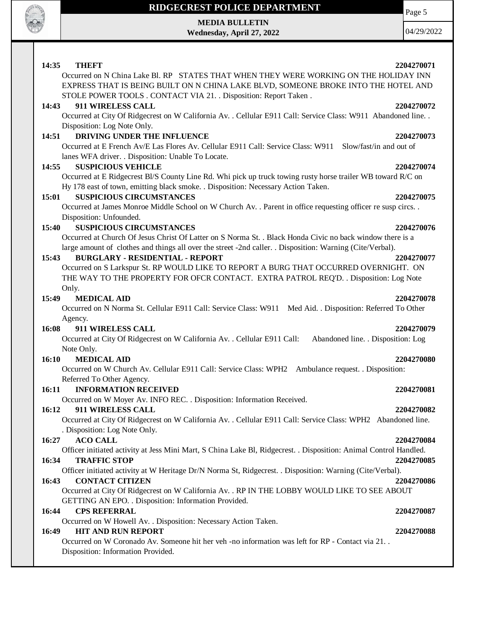

**MEDIA BULLETIN Wednesday, April 27, 2022** 04/29/2022

#### **14:35 THEFT 2204270071** Occurred on N China Lake Bl. RP STATES THAT WHEN THEY WERE WORKING ON THE HOLIDAY INN EXPRESS THAT IS BEING BUILT ON N CHINA LAKE BLVD, SOMEONE BROKE INTO THE HOTEL AND STOLE POWER TOOLS . CONTACT VIA 21. . Disposition: Report Taken . **14:43 911 WIRELESS CALL 2204270072** Occurred at City Of Ridgecrest on W California Av. . Cellular E911 Call: Service Class: W911 Abandoned line. . Disposition: Log Note Only. **14:51 DRIVING UNDER THE INFLUENCE 2204270073** Occurred at E French Av/E Las Flores Av. Cellular E911 Call: Service Class: W911 Slow/fast/in and out of lanes WFA driver. . Disposition: Unable To Locate. **14:55 SUSPICIOUS VEHICLE 2204270074** Occurred at E Ridgecrest Bl/S County Line Rd. Whi pick up truck towing rusty horse trailer WB toward R/C on Hy 178 east of town, emitting black smoke. . Disposition: Necessary Action Taken. **15:01 SUSPICIOUS CIRCUMSTANCES 2204270075** Occurred at James Monroe Middle School on W Church Av. . Parent in office requesting officer re susp circs. . Disposition: Unfounded. **15:40 SUSPICIOUS CIRCUMSTANCES 2204270076** Occurred at Church Of Jesus Christ Of Latter on S Norma St. . Black Honda Civic no back window there is a large amount of clothes and things all over the street -2nd caller. . Disposition: Warning (Cite/Verbal). **15:43 BURGLARY - RESIDENTIAL - REPORT 2204270077** Occurred on S Larkspur St. RP WOULD LIKE TO REPORT A BURG THAT OCCURRED OVERNIGHT. ON THE WAY TO THE PROPERTY FOR OFCR CONTACT. EXTRA PATROL REQ'D. . Disposition: Log Note Only. **15:49 MEDICAL AID 2204270078** Occurred on N Norma St. Cellular E911 Call: Service Class: W911 Med Aid. . Disposition: Referred To Other Agency. **16:08 911 WIRELESS CALL 2204270079** Occurred at City Of Ridgecrest on W California Av. . Cellular E911 Call: Abandoned line. . Disposition: Log Note Only. **16:10 MEDICAL AID 2204270080** Occurred on W Church Av. Cellular E911 Call: Service Class: WPH2 Ambulance request. . Disposition: Referred To Other Agency. **16:11 INFORMATION RECEIVED 2204270081** Occurred on W Moyer Av. INFO REC. . Disposition: Information Received. **16:12 911 WIRELESS CALL 2204270082** Occurred at City Of Ridgecrest on W California Av. . Cellular E911 Call: Service Class: WPH2 Abandoned line. . Disposition: Log Note Only. **16:27 ACO CALL 2204270084** Officer initiated activity at Jess Mini Mart, S China Lake Bl, Ridgecrest. . Disposition: Animal Control Handled. **16:34 TRAFFIC STOP 2204270085** Officer initiated activity at W Heritage Dr/N Norma St, Ridgecrest. . Disposition: Warning (Cite/Verbal). **16:43 CONTACT CITIZEN 2204270086** Occurred at City Of Ridgecrest on W California Av. . RP IN THE LOBBY WOULD LIKE TO SEE ABOUT GETTING AN EPO. . Disposition: Information Provided. **16:44 CPS REFERRAL 2204270087** Occurred on W Howell Av. . Disposition: Necessary Action Taken. **16:49 HIT AND RUN REPORT 2204270088** Occurred on W Coronado Av. Someone hit her veh -no information was left for RP - Contact via 21. . Disposition: Information Provided.

Page 5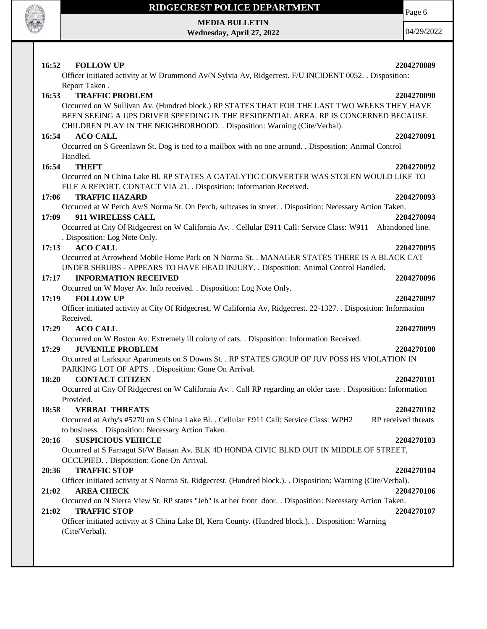

Page 6

**MEDIA BULLETIN Wednesday, April 27, 2022**

| 16:52<br><b>FOLLOW UP</b>                                                                                                                     | 2204270089                        |
|-----------------------------------------------------------------------------------------------------------------------------------------------|-----------------------------------|
| Officer initiated activity at W Drummond Av/N Sylvia Av, Ridgecrest. F/U INCIDENT 0052. . Disposition:                                        |                                   |
| Report Taken.                                                                                                                                 |                                   |
| 16:53<br><b>TRAFFIC PROBLEM</b>                                                                                                               | 2204270090                        |
| Occurred on W Sullivan Av. (Hundred block.) RP STATES THAT FOR THE LAST TWO WEEKS THEY HAVE                                                   |                                   |
| BEEN SEEING A UPS DRIVER SPEEDING IN THE RESIDENTIAL AREA. RP IS CONCERNED BECAUSE                                                            |                                   |
| CHILDREN PLAY IN THE NEIGHBORHOOD. . Disposition: Warning (Cite/Verbal).                                                                      |                                   |
| <b>ACO CALL</b><br>16:54                                                                                                                      | 2204270091                        |
| Occurred on S Greenlawn St. Dog is tied to a mailbox with no one around. . Disposition: Animal Control<br>Handled.                            |                                   |
| <b>THEFT</b><br>16:54                                                                                                                         | 2204270092                        |
| Occurred on N China Lake Bl. RP STATES A CATALYTIC CONVERTER WAS STOLEN WOULD LIKE TO                                                         |                                   |
| FILE A REPORT. CONTACT VIA 21. . Disposition: Information Received.                                                                           |                                   |
| 17:06<br><b>TRAFFIC HAZARD</b>                                                                                                                | 2204270093                        |
| Occurred at W Perch Av/S Norma St. On Perch, suitcases in street. . Disposition: Necessary Action Taken.                                      |                                   |
| 17:09<br>911 WIRELESS CALL                                                                                                                    | 2204270094                        |
| Occurred at City Of Ridgecrest on W California Av. . Cellular E911 Call: Service Class: W911 Abandoned line.                                  |                                   |
| . Disposition: Log Note Only.                                                                                                                 |                                   |
| <b>ACO CALL</b><br>17:13                                                                                                                      | 2204270095                        |
| Occurred at Arrowhead Mobile Home Park on N Norma St. . MANAGER STATES THERE IS A BLACK CAT                                                   |                                   |
| UNDER SHRUBS - APPEARS TO HAVE HEAD INJURY. . Disposition: Animal Control Handled.                                                            |                                   |
| <b>INFORMATION RECEIVED</b><br>17:17                                                                                                          | 2204270096                        |
| Occurred on W Moyer Av. Info received. . Disposition: Log Note Only.                                                                          |                                   |
| <b>FOLLOW UP</b><br>17:19                                                                                                                     | 2204270097                        |
| Officer initiated activity at City Of Ridgecrest, W California Av, Ridgecrest. 22-1327. Disposition: Information                              |                                   |
| Received.                                                                                                                                     |                                   |
| 17:29<br><b>ACO CALL</b>                                                                                                                      | 2204270099                        |
| Occurred on W Boston Av. Extremely ill colony of cats. . Disposition: Information Received.                                                   |                                   |
| <b>JUVENILE PROBLEM</b><br>17:29                                                                                                              | 2204270100                        |
| Occurred at Larkspur Apartments on S Downs St. . RP STATES GROUP OF JUV POSS HS VIOLATION IN                                                  |                                   |
| PARKING LOT OF APTS. . Disposition: Gone On Arrival.                                                                                          |                                   |
| <b>CONTACT CITIZEN</b><br>18:20                                                                                                               | 2204270101                        |
| Occurred at City Of Ridgecrest on W California Av. . Call RP regarding an older case. . Disposition: Information                              |                                   |
| Provided.                                                                                                                                     |                                   |
| 18:58<br><b>VERBAL THREATS</b>                                                                                                                | 2204270102<br>RP received threats |
| Occurred at Arby's #5270 on S China Lake Bl. . Cellular E911 Call: Service Class: WPH2<br>to business. . Disposition: Necessary Action Taken. |                                   |
| <b>SUSPICIOUS VEHICLE</b><br>20:16                                                                                                            | 2204270103                        |
| Occurred at S Farragut St/W Bataan Av. BLK 4D HONDA CIVIC BLKD OUT IN MIDDLE OF STREET,                                                       |                                   |
| OCCUPIED. . Disposition: Gone On Arrival.                                                                                                     |                                   |
| <b>TRAFFIC STOP</b><br>20:36                                                                                                                  | 2204270104                        |
| Officer initiated activity at S Norma St, Ridgecrest. (Hundred block.). Disposition: Warning (Cite/Verbal).                                   |                                   |
| 21:02<br><b>AREA CHECK</b>                                                                                                                    | 2204270106                        |
| Occurred on N Sierra View St. RP states "Jeb" is at her front door. . Disposition: Necessary Action Taken.                                    |                                   |
| <b>TRAFFIC STOP</b><br>21:02                                                                                                                  | 2204270107                        |
| Officer initiated activity at S China Lake Bl, Kern County. (Hundred block.). . Disposition: Warning                                          |                                   |
|                                                                                                                                               |                                   |
| (Cite/Verbal).                                                                                                                                |                                   |
|                                                                                                                                               |                                   |
|                                                                                                                                               |                                   |